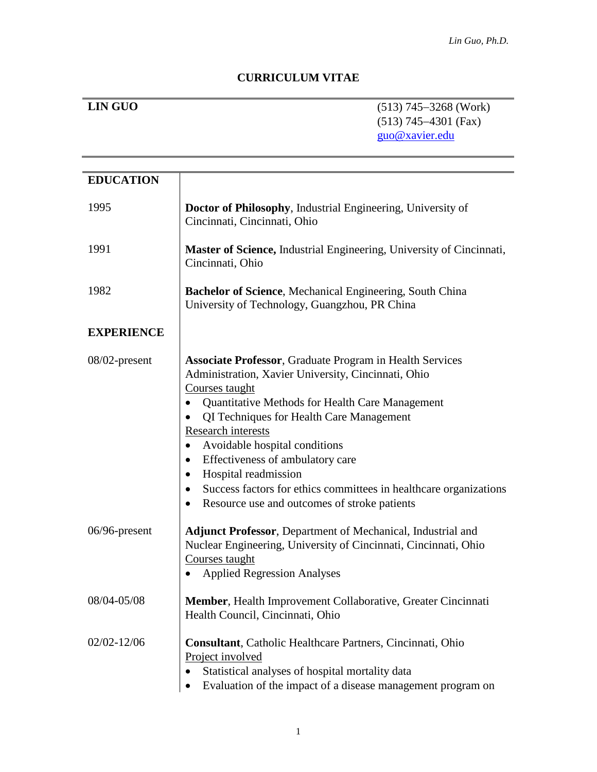# **CURRICULUM VITAE**

**LIN GUO** (513) 745-3268 (Work) (513) 745-4301 (Fax) [guo@xavier.edu](mailto:guo@xavier.edu)

| <b>EDUCATION</b>  |                                                                                                                                                                                                                                                                                                                                                                                                                                                                                                                                                                           |
|-------------------|---------------------------------------------------------------------------------------------------------------------------------------------------------------------------------------------------------------------------------------------------------------------------------------------------------------------------------------------------------------------------------------------------------------------------------------------------------------------------------------------------------------------------------------------------------------------------|
| 1995              | Doctor of Philosophy, Industrial Engineering, University of<br>Cincinnati, Cincinnati, Ohio                                                                                                                                                                                                                                                                                                                                                                                                                                                                               |
| 1991              | Master of Science, Industrial Engineering, University of Cincinnati,<br>Cincinnati, Ohio                                                                                                                                                                                                                                                                                                                                                                                                                                                                                  |
| 1982              | Bachelor of Science, Mechanical Engineering, South China<br>University of Technology, Guangzhou, PR China                                                                                                                                                                                                                                                                                                                                                                                                                                                                 |
| <b>EXPERIENCE</b> |                                                                                                                                                                                                                                                                                                                                                                                                                                                                                                                                                                           |
| 08/02-present     | <b>Associate Professor, Graduate Program in Health Services</b><br>Administration, Xavier University, Cincinnati, Ohio<br>Courses taught<br><b>Quantitative Methods for Health Care Management</b><br>$\bullet$<br>QI Techniques for Health Care Management<br>٠<br>Research interests<br>Avoidable hospital conditions<br>$\bullet$<br>Effectiveness of ambulatory care<br>$\bullet$<br>Hospital readmission<br>$\bullet$<br>Success factors for ethics committees in healthcare organizations<br>$\bullet$<br>Resource use and outcomes of stroke patients<br>$\bullet$ |
| $06/96$ -present  | <b>Adjunct Professor</b> , Department of Mechanical, Industrial and<br>Nuclear Engineering, University of Cincinnati, Cincinnati, Ohio<br>Courses taught<br><b>Applied Regression Analyses</b><br>$\bullet$                                                                                                                                                                                                                                                                                                                                                               |
| 08/04-05/08       | Member, Health Improvement Collaborative, Greater Cincinnati<br>Health Council, Cincinnati, Ohio                                                                                                                                                                                                                                                                                                                                                                                                                                                                          |
| $02/02 - 12/06$   | <b>Consultant</b> , Catholic Healthcare Partners, Cincinnati, Ohio<br>Project involved<br>Statistical analyses of hospital mortality data<br>Evaluation of the impact of a disease management program on                                                                                                                                                                                                                                                                                                                                                                  |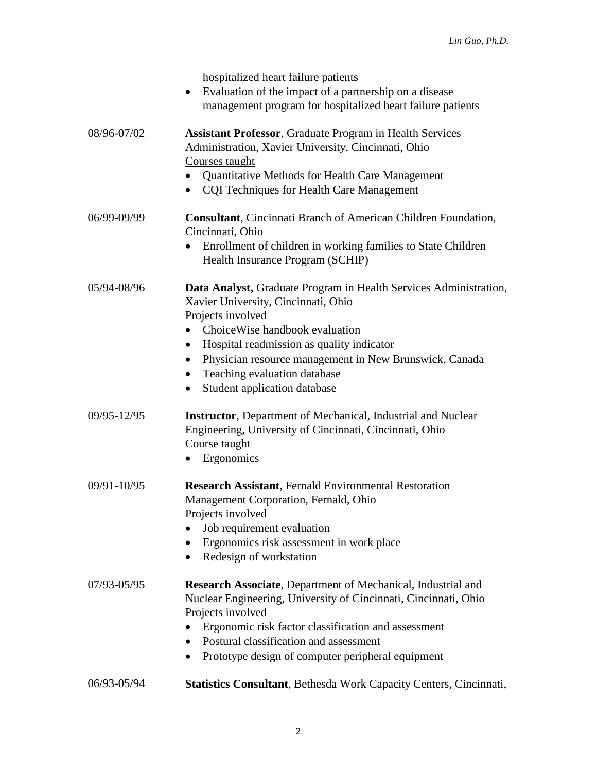|             | hospitalized heart failure patients<br>Evaluation of the impact of a partnership on a disease<br>$\bullet$<br>management program for hospitalized heart failure patients                                                                                                                                                                                                       |
|-------------|--------------------------------------------------------------------------------------------------------------------------------------------------------------------------------------------------------------------------------------------------------------------------------------------------------------------------------------------------------------------------------|
| 08/96-07/02 | <b>Assistant Professor, Graduate Program in Health Services</b><br>Administration, Xavier University, Cincinnati, Ohio<br>Courses taught<br>Quantitative Methods for Health Care Management<br>٠<br><b>CQI</b> Techniques for Health Care Management<br>$\bullet$                                                                                                              |
| 06/99-09/99 | Consultant, Cincinnati Branch of American Children Foundation,<br>Cincinnati, Ohio<br>Enrollment of children in working families to State Children<br>Health Insurance Program (SCHIP)                                                                                                                                                                                         |
| 05/94-08/96 | Data Analyst, Graduate Program in Health Services Administration,<br>Xavier University, Cincinnati, Ohio<br>Projects involved<br>Choice Wise handbook evaluation<br>Hospital readmission as quality indicator<br>$\bullet$<br>Physician resource management in New Brunswick, Canada<br>$\bullet$<br>Teaching evaluation database<br>$\bullet$<br>Student application database |
| 09/95-12/95 | <b>Instructor</b> , Department of Mechanical, Industrial and Nuclear<br>Engineering, University of Cincinnati, Cincinnati, Ohio<br>Course taught<br>Ergonomics<br>$\bullet$                                                                                                                                                                                                    |
| 09/91-10/95 | <b>Research Assistant, Fernald Environmental Restoration</b><br>Management Corporation, Fernald, Ohio<br>Projects involved<br>Job requirement evaluation<br>Ergonomics risk assessment in work place<br>Redesign of workstation                                                                                                                                                |
| 07/93-05/95 | Research Associate, Department of Mechanical, Industrial and<br>Nuclear Engineering, University of Cincinnati, Cincinnati, Ohio<br>Projects involved<br>Ergonomic risk factor classification and assessment<br>Postural classification and assessment<br>Prototype design of computer peripheral equipment                                                                     |
| 06/93-05/94 | Statistics Consultant, Bethesda Work Capacity Centers, Cincinnati,                                                                                                                                                                                                                                                                                                             |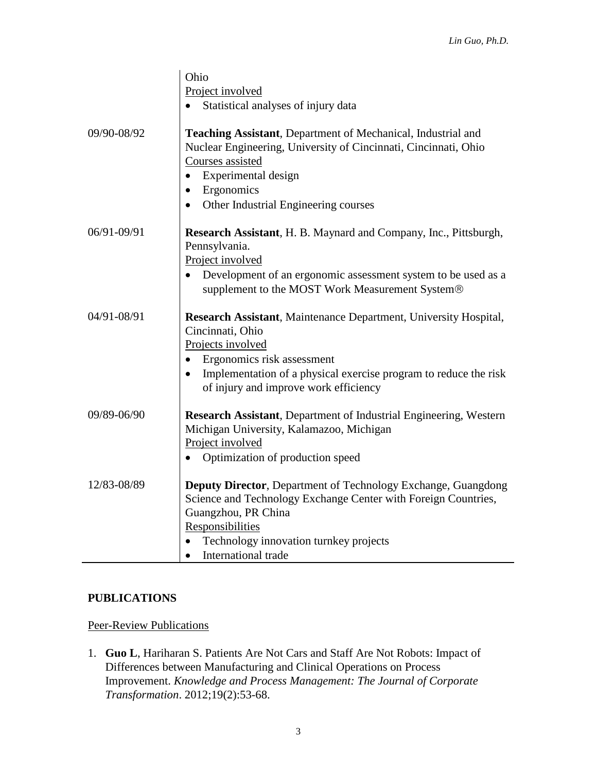|             | Ohio                                                                                                                                                                                    |
|-------------|-----------------------------------------------------------------------------------------------------------------------------------------------------------------------------------------|
|             | Project involved                                                                                                                                                                        |
|             | Statistical analyses of injury data                                                                                                                                                     |
|             |                                                                                                                                                                                         |
| 09/90-08/92 | Teaching Assistant, Department of Mechanical, Industrial and<br>Nuclear Engineering, University of Cincinnati, Cincinnati, Ohio<br>Courses assisted<br>Experimental design<br>$\bullet$ |
|             | Ergonomics<br>$\bullet$                                                                                                                                                                 |
|             | Other Industrial Engineering courses<br>$\bullet$                                                                                                                                       |
| 06/91-09/91 | Research Assistant, H. B. Maynard and Company, Inc., Pittsburgh,<br>Pennsylvania.<br>Project involved                                                                                   |
|             | Development of an ergonomic assessment system to be used as a<br>supplement to the MOST Work Measurement System®                                                                        |
| 04/91-08/91 | Research Assistant, Maintenance Department, University Hospital,<br>Cincinnati, Ohio<br>Projects involved<br>Ergonomics risk assessment                                                 |
|             | Implementation of a physical exercise program to reduce the risk<br>$\bullet$                                                                                                           |
|             | of injury and improve work efficiency                                                                                                                                                   |
| 09/89-06/90 | <b>Research Assistant</b> , Department of Industrial Engineering, Western<br>Michigan University, Kalamazoo, Michigan<br>Project involved                                               |
|             | Optimization of production speed                                                                                                                                                        |
| 12/83-08/89 | <b>Deputy Director, Department of Technology Exchange, Guangdong</b><br>Science and Technology Exchange Center with Foreign Countries,<br>Guangzhou, PR China<br>Responsibilities       |
|             | Technology innovation turnkey projects                                                                                                                                                  |
|             | International trade                                                                                                                                                                     |

# **PUBLICATIONS**

# Peer-Review Publications

1. **Guo L**, Hariharan S. Patients Are Not Cars and Staff Are Not Robots: Impact of Differences between Manufacturing and Clinical Operations on Process Improvement. *Knowledge and Process Management: The Journal of Corporate Transformation*. 2012;19(2):53-68.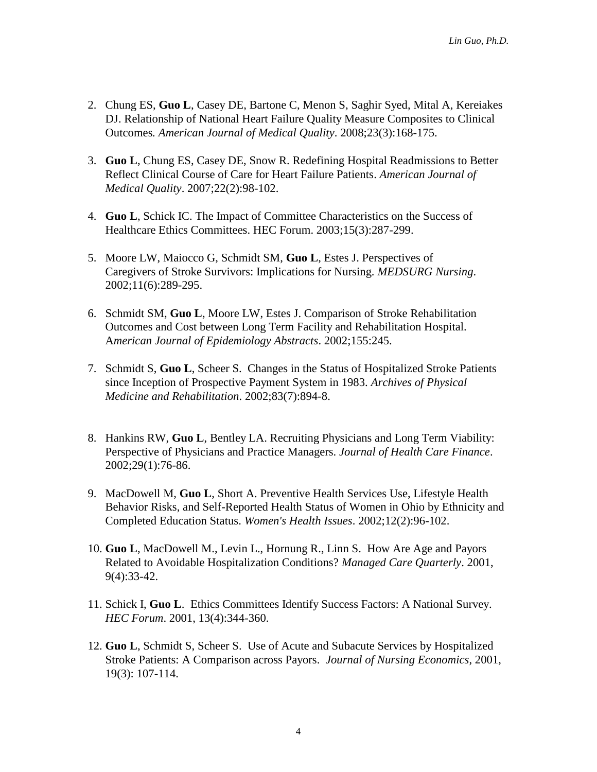- 2. Chung ES, **Guo L**, Casey DE, Bartone C, Menon S, Saghir Syed, Mital A, Kereiakes DJ. Relationship of National Heart Failure Quality Measure Composites to Clinical Outcomes*. American Journal of Medical Quality*. 2008;23(3):168-175.
- 3. **Guo L**, Chung ES, Casey DE, Snow R. Redefining Hospital Readmissions to Better Reflect Clinical Course of Care for Heart Failure Patients. *American Journal of Medical Quality*. 2007;22(2):98-102.
- 4. **Guo L**, Schick IC. The Impact of Committee Characteristics on the Success of Healthcare Ethics Committees. HEC Forum. 2003;15(3):287-299.
- 5. Moore LW, Maiocco G, Schmidt SM, **Guo L**, Estes J. Perspectives of Caregivers of Stroke Survivors: Implications for Nursing. *MEDSURG Nursing*. 2002;11(6):289-295.
- 6. Schmidt SM, **Guo L**, Moore LW, Estes J. Comparison of Stroke Rehabilitation Outcomes and Cost between Long Term Facility and Rehabilitation Hospital. A*merican Journal of Epidemiology Abstracts*. 2002;155:245.
- 7. Schmidt S, **Guo L**, Scheer S. Changes in the Status of Hospitalized Stroke Patients since Inception of Prospective Payment System in 1983. *Archives of Physical Medicine and Rehabilitation*. 2002;83(7):894-8.
- 8. Hankins RW, **Guo L**, Bentley LA. Recruiting Physicians and Long Term Viability: Perspective of Physicians and Practice Managers. *Journal of Health Care Finance*. 2002;29(1):76-86.
- 9. MacDowell M, **Guo L**, Short A. Preventive Health Services Use, Lifestyle Health Behavior Risks, and Self-Reported Health Status of Women in Ohio by Ethnicity and Completed Education Status. *Women's Health Issues*. 2002;12(2):96-102.
- 10. **Guo L**, MacDowell M., Levin L., Hornung R., Linn S. How Are Age and Payors Related to Avoidable Hospitalization Conditions? *Managed Care Quarterly*. 2001, 9(4):33-42.
- 11. Schick I, **Guo L**. Ethics Committees Identify Success Factors: A National Survey. *HEC Forum*. 2001, 13(4):344-360.
- 12. **Guo L**, Schmidt S, Scheer S. Use of Acute and Subacute Services by Hospitalized Stroke Patients: A Comparison across Payors. *Journal of Nursing Economics*, 2001, 19(3): 107-114.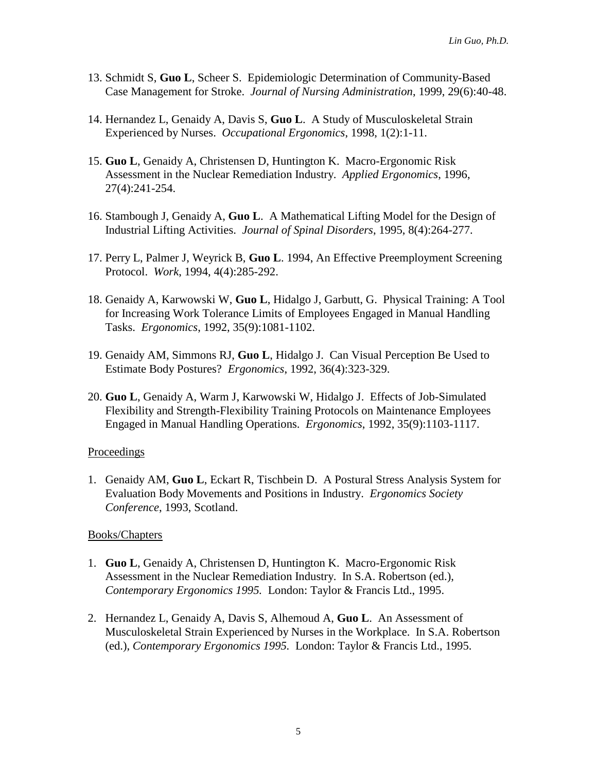- 13. Schmidt S, **Guo L**, Scheer S. Epidemiologic Determination of Community-Based Case Management for Stroke. *Journal of Nursing Administration*, 1999, 29(6):40-48.
- 14. Hernandez L, Genaidy A, Davis S, **Guo L**. A Study of Musculoskeletal Strain Experienced by Nurses. *Occupational Ergonomics*, 1998, 1(2):1-11.
- 15. **Guo L**, Genaidy A, Christensen D, Huntington K. Macro-Ergonomic Risk Assessment in the Nuclear Remediation Industry. *Applied Ergonomics*, 1996, 27(4):241-254.
- 16. Stambough J, Genaidy A, **Guo L**. A Mathematical Lifting Model for the Design of Industrial Lifting Activities. *Journal of Spinal Disorders*, 1995, 8(4):264-277.
- 17. Perry L, Palmer J, Weyrick B, **Guo L**. 1994, An Effective Preemployment Screening Protocol. *Work*, 1994, 4(4):285-292.
- 18. Genaidy A, Karwowski W, **Guo L**, Hidalgo J, Garbutt, G. Physical Training: A Tool for Increasing Work Tolerance Limits of Employees Engaged in Manual Handling Tasks. *Ergonomics*, 1992, 35(9):1081-1102.
- 19. Genaidy AM, Simmons RJ, **Guo L**, Hidalgo J. Can Visual Perception Be Used to Estimate Body Postures? *Ergonomics*, 1992, 36(4):323-329.
- 20. **Guo L**, Genaidy A, Warm J, Karwowski W, Hidalgo J. Effects of Job-Simulated Flexibility and Strength-Flexibility Training Protocols on Maintenance Employees Engaged in Manual Handling Operations. *Ergonomics*, 1992, 35(9):1103-1117.

#### Proceedings

1. Genaidy AM, **Guo L**, Eckart R, Tischbein D. A Postural Stress Analysis System for Evaluation Body Movements and Positions in Industry. *Ergonomics Society Conference*, 1993, Scotland.

#### Books/Chapters

- 1. **Guo L**, Genaidy A, Christensen D, Huntington K. Macro-Ergonomic Risk Assessment in the Nuclear Remediation Industry. In S.A. Robertson (ed.), *Contemporary Ergonomics 1995.* London: Taylor & Francis Ltd., 1995.
- 2. Hernandez L, Genaidy A, Davis S, Alhemoud A, **Guo L**. An Assessment of Musculoskeletal Strain Experienced by Nurses in the Workplace. In S.A. Robertson (ed.), *Contemporary Ergonomics 1995.* London: Taylor & Francis Ltd., 1995.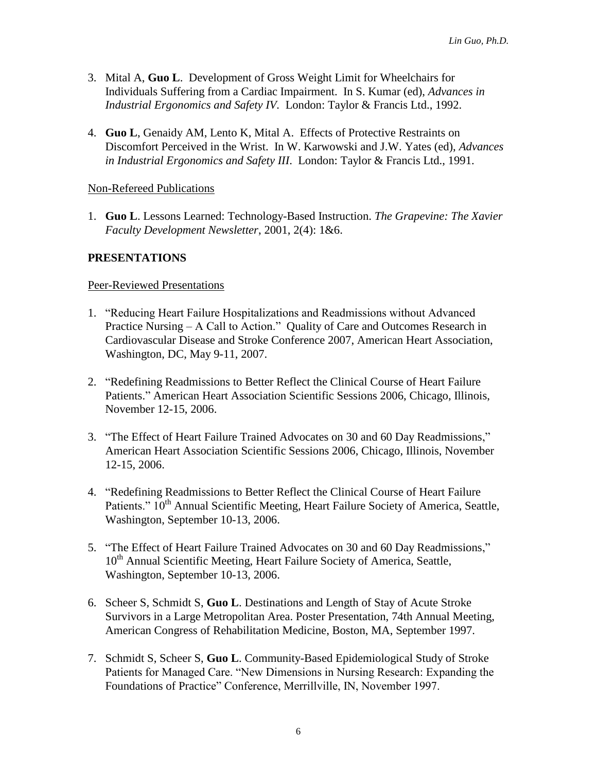- 3. Mital A, **Guo L**. Development of Gross Weight Limit for Wheelchairs for Individuals Suffering from a Cardiac Impairment. In S. Kumar (ed), *Advances in Industrial Ergonomics and Safety IV.* London: Taylor & Francis Ltd., 1992.
- 4. **Guo L**, Genaidy AM, Lento K, Mital A. Effects of Protective Restraints on Discomfort Perceived in the Wrist. In W. Karwowski and J.W. Yates (ed), *Advances in Industrial Ergonomics and Safety III*. London: Taylor & Francis Ltd., 1991.

#### Non-Refereed Publications

1. **Guo L**. Lessons Learned: Technology-Based Instruction. *The Grapevine: The Xavier Faculty Development Newsletter*, 2001, 2(4): 1&6.

# **PRESENTATIONS**

#### Peer-Reviewed Presentations

- 1. "Reducing Heart Failure Hospitalizations and Readmissions without Advanced Practice Nursing – A Call to Action." Quality of Care and Outcomes Research in Cardiovascular Disease and Stroke Conference 2007, American Heart Association, Washington, DC, May 9-11, 2007.
- 2. "Redefining Readmissions to Better Reflect the Clinical Course of Heart Failure Patients." American Heart Association Scientific Sessions 2006, Chicago, Illinois, November 12-15, 2006.
- 3. "The Effect of Heart Failure Trained Advocates on 30 and 60 Day Readmissions," American Heart Association Scientific Sessions 2006, Chicago, Illinois, November 12-15, 2006.
- 4. "Redefining Readmissions to Better Reflect the Clinical Course of Heart Failure Patients." 10<sup>th</sup> Annual Scientific Meeting, Heart Failure Society of America, Seattle, Washington, September 10-13, 2006.
- 5. "The Effect of Heart Failure Trained Advocates on 30 and 60 Day Readmissions," 10<sup>th</sup> Annual Scientific Meeting, Heart Failure Society of America, Seattle, Washington, September 10-13, 2006.
- 6. Scheer S, Schmidt S, **Guo L**. Destinations and Length of Stay of Acute Stroke Survivors in a Large Metropolitan Area. Poster Presentation, 74th Annual Meeting, American Congress of Rehabilitation Medicine, Boston, MA, September 1997.
- 7. Schmidt S, Scheer S, **Guo L**. Community-Based Epidemiological Study of Stroke Patients for Managed Care. "New Dimensions in Nursing Research: Expanding the Foundations of Practice" Conference, Merrillville, IN, November 1997.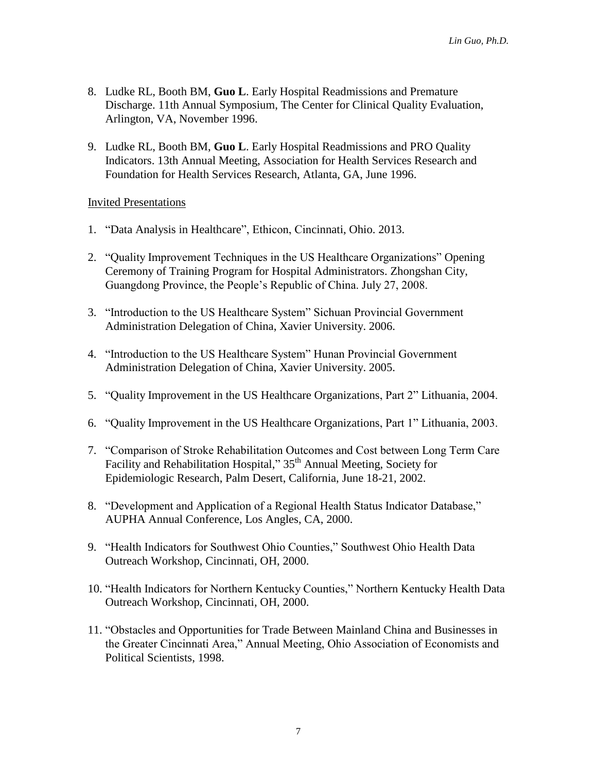- 8. Ludke RL, Booth BM, **Guo L**. Early Hospital Readmissions and Premature Discharge. 11th Annual Symposium, The Center for Clinical Quality Evaluation, Arlington, VA, November 1996.
- 9. Ludke RL, Booth BM, **Guo L**. Early Hospital Readmissions and PRO Quality Indicators. 13th Annual Meeting, Association for Health Services Research and Foundation for Health Services Research, Atlanta, GA, June 1996.

#### Invited Presentations

- 1. "Data Analysis in Healthcare", Ethicon, Cincinnati, Ohio. 2013.
- 2. "Quality Improvement Techniques in the US Healthcare Organizations" Opening Ceremony of Training Program for Hospital Administrators. Zhongshan City, Guangdong Province, the People's Republic of China. July 27, 2008.
- 3. "Introduction to the US Healthcare System" Sichuan Provincial Government Administration Delegation of China, Xavier University. 2006.
- 4. "Introduction to the US Healthcare System" Hunan Provincial Government Administration Delegation of China, Xavier University. 2005.
- 5. "Quality Improvement in the US Healthcare Organizations, Part 2" Lithuania, 2004.
- 6. "Quality Improvement in the US Healthcare Organizations, Part 1" Lithuania, 2003.
- 7. "Comparison of Stroke Rehabilitation Outcomes and Cost between Long Term Care Facility and Rehabilitation Hospital," 35<sup>th</sup> Annual Meeting, Society for Epidemiologic Research, Palm Desert, California, June 18-21, 2002.
- 8. "Development and Application of a Regional Health Status Indicator Database," AUPHA Annual Conference, Los Angles, CA, 2000.
- 9. "Health Indicators for Southwest Ohio Counties," Southwest Ohio Health Data Outreach Workshop, Cincinnati, OH, 2000.
- 10. "Health Indicators for Northern Kentucky Counties," Northern Kentucky Health Data Outreach Workshop, Cincinnati, OH, 2000.
- 11. "Obstacles and Opportunities for Trade Between Mainland China and Businesses in the Greater Cincinnati Area," Annual Meeting, Ohio Association of Economists and Political Scientists, 1998.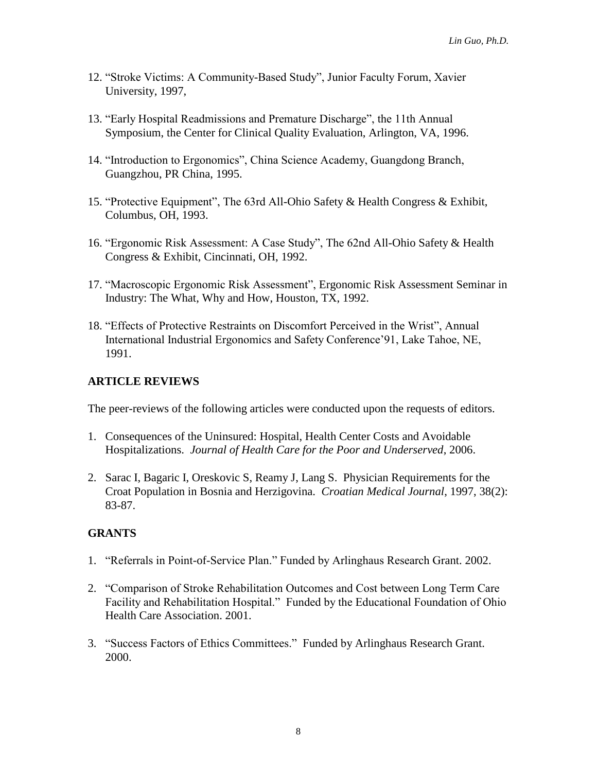- 12. "Stroke Victims: A Community-Based Study", Junior Faculty Forum, Xavier University, 1997,
- 13. "Early Hospital Readmissions and Premature Discharge", the 11th Annual Symposium, the Center for Clinical Quality Evaluation, Arlington, VA, 1996.
- 14. "Introduction to Ergonomics", China Science Academy, Guangdong Branch, Guangzhou, PR China, 1995.
- 15. "Protective Equipment", The 63rd All-Ohio Safety & Health Congress & Exhibit, Columbus, OH, 1993.
- 16. "Ergonomic Risk Assessment: A Case Study", The 62nd All-Ohio Safety & Health Congress & Exhibit, Cincinnati, OH, 1992.
- 17. "Macroscopic Ergonomic Risk Assessment", Ergonomic Risk Assessment Seminar in Industry: The What, Why and How, Houston, TX, 1992.
- 18. "Effects of Protective Restraints on Discomfort Perceived in the Wrist", Annual International Industrial Ergonomics and Safety Conference'91, Lake Tahoe, NE, 1991.

# **ARTICLE REVIEWS**

The peer-reviews of the following articles were conducted upon the requests of editors.

- 1. Consequences of the Uninsured: Hospital, Health Center Costs and Avoidable Hospitalizations. *Journal of Health Care for the Poor and Underserved*, 2006.
- 2. Sarac I, Bagaric I, Oreskovic S, Reamy J, Lang S. Physician Requirements for the Croat Population in Bosnia and Herzigovina. *Croatian Medical Journal*, 1997, 38(2): 83-87.

# **GRANTS**

- 1. "Referrals in Point-of-Service Plan." Funded by Arlinghaus Research Grant. 2002.
- 2. "Comparison of Stroke Rehabilitation Outcomes and Cost between Long Term Care Facility and Rehabilitation Hospital." Funded by the Educational Foundation of Ohio Health Care Association. 2001.
- 3. "Success Factors of Ethics Committees." Funded by Arlinghaus Research Grant. 2000.